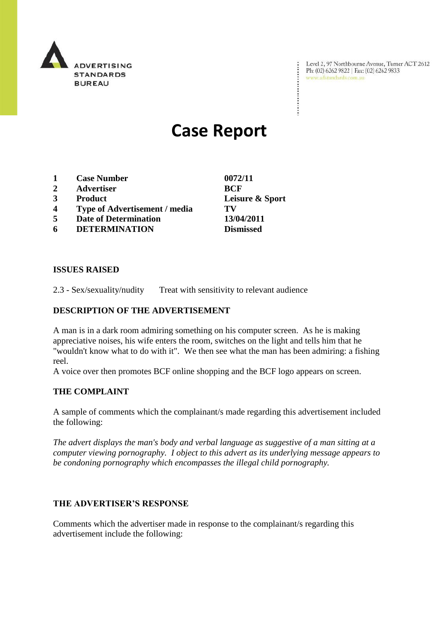

Level 2, 97 Northbourne Avenue, Turner ACT 2612<br>Ph: (02) 6262 9822 | Fax: (02) 6262 9833<br>www.adstandards.com.au

# **Case Report**

- **1 Case Number 0072/11**
- **2 Advertiser BCF**
- 
- **4 Type of Advertisement / media TV**
- **5 Date of Determination 13/04/2011**
- **6 DETERMINATION Dismissed**

**ISSUES RAISED**

2.3 - Sex/sexuality/nudity Treat with sensitivity to relevant audience

### **DESCRIPTION OF THE ADVERTISEMENT**

A man is in a dark room admiring something on his computer screen. As he is making appreciative noises, his wife enters the room, switches on the light and tells him that he "wouldn't know what to do with it". We then see what the man has been admiring: a fishing reel.

A voice over then promotes BCF online shopping and the BCF logo appears on screen.

### **THE COMPLAINT**

A sample of comments which the complainant/s made regarding this advertisement included the following:

*The advert displays the man's body and verbal language as suggestive of a man sitting at a computer viewing pornography. I object to this advert as its underlying message appears to be condoning pornography which encompasses the illegal child pornography.* 

### **THE ADVERTISER'S RESPONSE**

Comments which the advertiser made in response to the complainant/s regarding this advertisement include the following:

**3 Product Leisure & Sport**

÷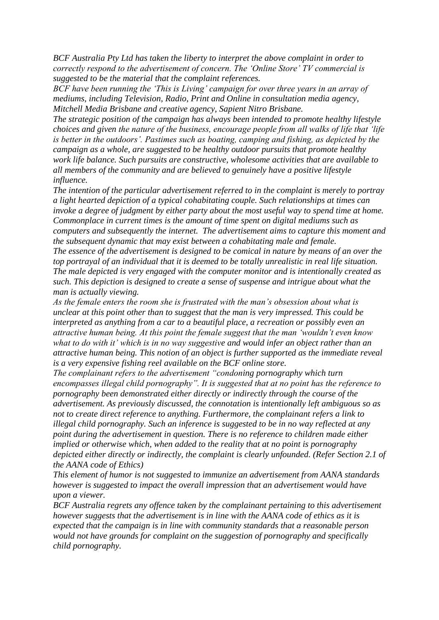*BCF Australia Pty Ltd has taken the liberty to interpret the above complaint in order to correctly respond to the advertisement of concern. The "Online Store" TV commercial is suggested to be the material that the complaint references.* 

*BCF have been running the "This is Living" campaign for over three years in an array of mediums, including Television, Radio, Print and Online in consultation media agency, Mitchell Media Brisbane and creative agency, Sapient Nitro Brisbane.* 

*The strategic position of the campaign has always been intended to promote healthy lifestyle choices and given the nature of the business, encourage people from all walks of life that "life is better in the outdoors". Pastimes such as boating, camping and fishing, as depicted by the campaign as a whole, are suggested to be healthy outdoor pursuits that promote healthy work life balance. Such pursuits are constructive, wholesome activities that are available to all members of the community and are believed to genuinely have a positive lifestyle influence.*

*The intention of the particular advertisement referred to in the complaint is merely to portray a light hearted depiction of a typical cohabitating couple. Such relationships at times can invoke a degree of judgment by either party about the most useful way to spend time at home. Commonplace in current times is the amount of time spent on digital mediums such as computers and subsequently the internet. The advertisement aims to capture this moment and the subsequent dynamic that may exist between a cohabitating male and female.* 

*The essence of the advertisement is designed to be comical in nature by means of an over the top portrayal of an individual that it is deemed to be totally unrealistic in real life situation. The male depicted is very engaged with the computer monitor and is intentionally created as such. This depiction is designed to create a sense of suspense and intrigue about what the man is actually viewing.* 

*As the female enters the room she is frustrated with the man"s obsession about what is unclear at this point other than to suggest that the man is very impressed. This could be interpreted as anything from a car to a beautiful place, a recreation or possibly even an attractive human being. At this point the female suggest that the man "wouldn"t even know what to do with it" which is in no way suggestive and would infer an object rather than an attractive human being. This notion of an object is further supported as the immediate reveal is a very expensive fishing reel available on the BCF online store.*

*The complainant refers to the advertisement "condoning pornography which turn encompasses illegal child pornography". It is suggested that at no point has the reference to pornography been demonstrated either directly or indirectly through the course of the advertisement. As previously discussed, the connotation is intentionally left ambiguous so as not to create direct reference to anything. Furthermore, the complainant refers a link to illegal child pornography. Such an inference is suggested to be in no way reflected at any point during the advertisement in question. There is no reference to children made either implied or otherwise which, when added to the reality that at no point is pornography depicted either directly or indirectly, the complaint is clearly unfounded. (Refer Section 2.1 of the AANA code of Ethics)*

*This element of humor is not suggested to immunize an advertisement from AANA standards however is suggested to impact the overall impression that an advertisement would have upon a viewer.* 

*BCF Australia regrets any offence taken by the complainant pertaining to this advertisement however suggests that the advertisement is in line with the AANA code of ethics as it is expected that the campaign is in line with community standards that a reasonable person would not have grounds for complaint on the suggestion of pornography and specifically child pornography.*